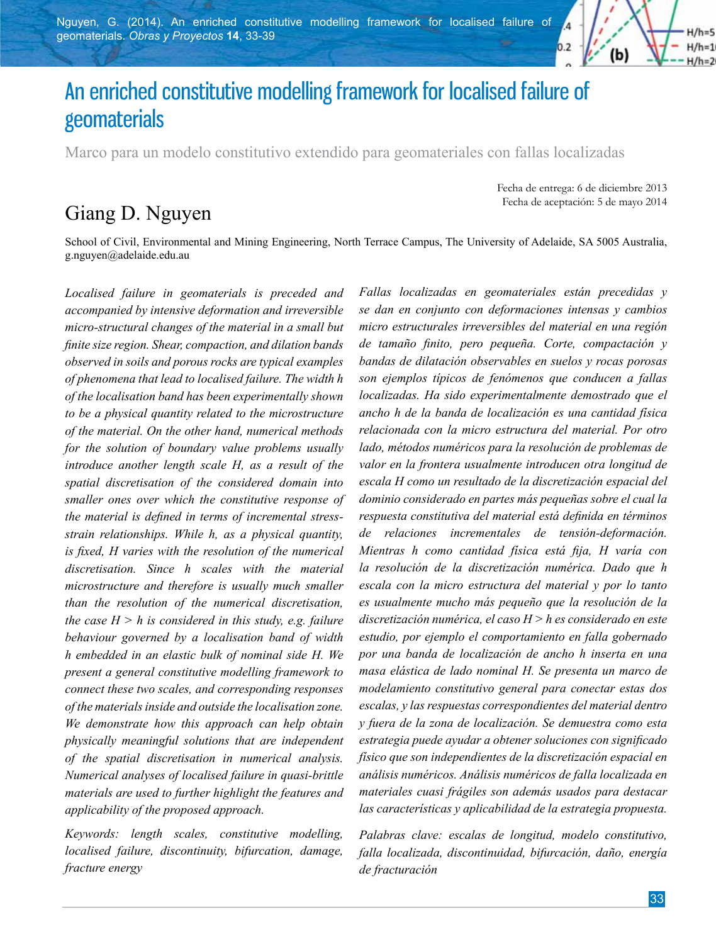

# An enriched constitutive modelling framework for localised failure of geomaterials

Marco para un modelo constitutivo extendido para geomateriales con fallas localizadas

# Giang D. Nguyen

Fecha de entrega: 6 de diciembre 2013 Fecha de aceptación: 5 de mayo 2014

School of Civil, Environmental and Mining Engineering, North Terrace Campus, The University of Adelaide, SA 5005 Australia, g.nguyen@adelaide.edu.au

*Localised failure in geomaterials is preceded and accompanied by intensive deformation and irreversible micro-structural changes of the material in a small but finite size region. Shear, compaction, and dilation bands observed in soils and porous rocks are typical examples of phenomena that lead to localised failure. The width h of the localisation band has been experimentally shown to be a physical quantity related to the microstructure of the material. On the other hand, numerical methods for the solution of boundary value problems usually introduce another length scale H, as a result of the spatial discretisation of the considered domain into smaller ones over which the constitutive response of the material is defined in terms of incremental stressstrain relationships. While h, as a physical quantity, is fixed, H varies with the resolution of the numerical discretisation. Since h scales with the material microstructure and therefore is usually much smaller than the resolution of the numerical discretisation, the case*  $H > h$  *is considered in this study, e.g. failure behaviour governed by a localisation band of width h embedded in an elastic bulk of nominal side H. We present a general constitutive modelling framework to connect these two scales, and corresponding responses of the materials inside and outside the localisation zone. We demonstrate how this approach can help obtain physically meaningful solutions that are independent of the spatial discretisation in numerical analysis. Numerical analyses of localised failure in quasi-brittle materials are used to further highlight the features and applicability of the proposed approach.*

*Keywords: length scales, constitutive modelling, localised failure, discontinuity, bifurcation, damage, fracture energy*

*Fallas localizadas en geomateriales están precedidas y se dan en conjunto con deformaciones intensas y cambios micro estructurales irreversibles del material en una región de tamaño finito, pero pequeña. Corte, compactación y bandas de dilatación observables en suelos y rocas porosas son ejemplos típicos de fenómenos que conducen a fallas localizadas. Ha sido experimentalmente demostrado que el ancho h de la banda de localización es una cantidad física relacionada con la micro estructura del material. Por otro lado, métodos numéricos para la resolución de problemas de valor en la frontera usualmente introducen otra longitud de escala H como un resultado de la discretización espacial del dominio considerado en partes más pequeñas sobre el cual la respuesta constitutiva del material está definida en términos de relaciones incrementales de tensión-deformación. Mientras h como cantidad física está fija, H varía con la resolución de la discretización numérica. Dado que h escala con la micro estructura del material y por lo tanto es usualmente mucho más pequeño que la resolución de la discretización numérica, el caso H > h es considerado en este estudio, por ejemplo el comportamiento en falla gobernado por una banda de localización de ancho h inserta en una masa elástica de lado nominal H. Se presenta un marco de modelamiento constitutivo general para conectar estas dos escalas, y las respuestas correspondientes del material dentro y fuera de la zona de localización. Se demuestra como esta estrategia puede ayudar a obtener soluciones con significado físico que son independientes de la discretización espacial en análisis numéricos. Análisis numéricos de falla localizada en materiales cuasi frágiles son además usados para destacar las características y aplicabilidad de la estrategia propuesta.*

*Palabras clave: escalas de longitud, modelo constitutivo, falla localizada, discontinuidad, bifurcación, daño, energía de fracturación*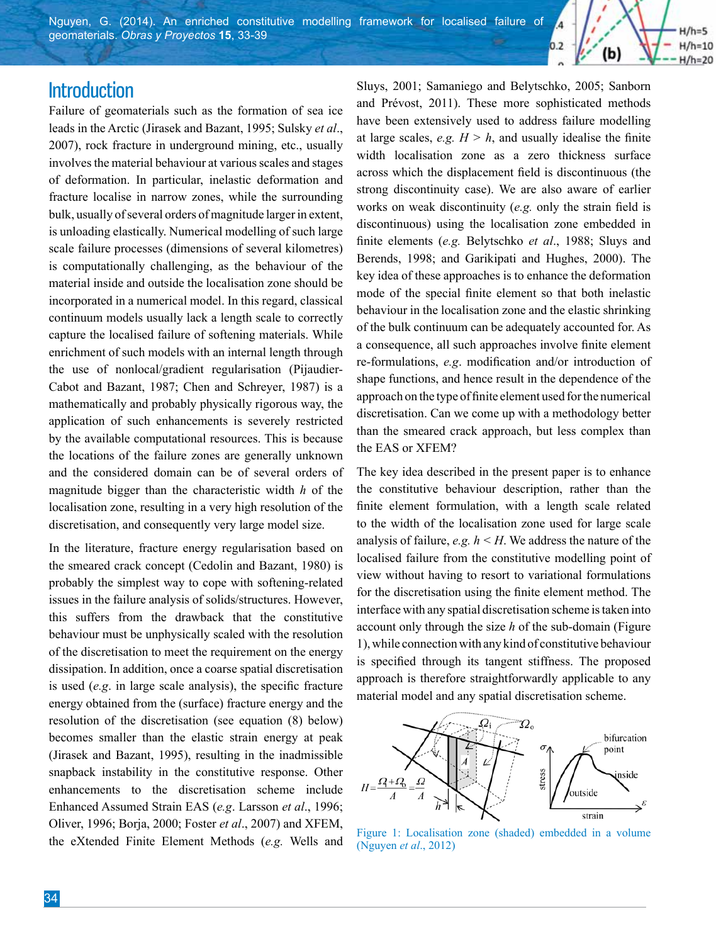Nguyen, G. (2014). An enriched constitutive modelling framework for localised failure of geomaterials. *Obras y Proyectos* **15**, 33-39

### **Introduction**

Failure of geomaterials such as the formation of sea ice leads in the Arctic (Jirasek and Bazant, 1995; Sulsky *et al*., 2007), rock fracture in underground mining, etc., usually involves the material behaviour at various scales and stages of deformation. In particular, inelastic deformation and fracture localise in narrow zones, while the surrounding bulk, usually of several orders of magnitude larger in extent, is unloading elastically. Numerical modelling of such large scale failure processes (dimensions of several kilometres) is computationally challenging, as the behaviour of the material inside and outside the localisation zone should be incorporated in a numerical model. In this regard, classical continuum models usually lack a length scale to correctly capture the localised failure of softening materials. While enrichment of such models with an internal length through the use of nonlocal/gradient regularisation (Pijaudier-Cabot and Bazant, 1987; Chen and Schreyer, 1987) is a mathematically and probably physically rigorous way, the application of such enhancements is severely restricted by the available computational resources. This is because the locations of the failure zones are generally unknown and the considered domain can be of several orders of magnitude bigger than the characteristic width *h* of the localisation zone, resulting in a very high resolution of the discretisation, and consequently very large model size.

In the literature, fracture energy regularisation based on the smeared crack concept (Cedolin and Bazant, 1980) is probably the simplest way to cope with softening-related issues in the failure analysis of solids/structures. However, this suffers from the drawback that the constitutive behaviour must be unphysically scaled with the resolution of the discretisation to meet the requirement on the energy dissipation. In addition, once a coarse spatial discretisation is used (*e.g*. in large scale analysis), the specific fracture energy obtained from the (surface) fracture energy and the resolution of the discretisation (see equation (8) below) becomes smaller than the elastic strain energy at peak (Jirasek and Bazant, 1995), resulting in the inadmissible snapback instability in the constitutive response. Other enhancements to the discretisation scheme include Enhanced Assumed Strain EAS (*e.g*. Larsson *et al*., 1996; Oliver, 1996; Borja, 2000; Foster *et al*., 2007) and XFEM, the eXtended Finite Element Methods (*e.g.* Wells and Sluys, 2001; Samaniego and Belytschko, 2005; Sanborn and Prévost, 2011). These more sophisticated methods have been extensively used to address failure modelling at large scales,  $e.g. H > h$ , and usually idealise the finite width localisation zone as a zero thickness surface across which the displacement field is discontinuous (the strong discontinuity case). We are also aware of earlier works on weak discontinuity (*e.g.* only the strain field is discontinuous) using the localisation zone embedded in finite elements (*e.g.* Belytschko *et al*., 1988; Sluys and Berends, 1998; and Garikipati and Hughes, 2000). The key idea of these approaches is to enhance the deformation mode of the special finite element so that both inelastic behaviour in the localisation zone and the elastic shrinking of the bulk continuum can be adequately accounted for. As a consequence, all such approaches involve finite element re-formulations, *e.g*. modification and/or introduction of shape functions, and hence result in the dependence of the approach on the type of finite element used for the numerical discretisation. Can we come up with a methodology better than the smeared crack approach, but less complex than the EAS or XFEM?

 $0.2$ 

(b)

 $H/h=5$  $H/h=10$ 

 $H/h=20$ 

The key idea described in the present paper is to enhance the constitutive behaviour description, rather than the finite element formulation, with a length scale related to the width of the localisation zone used for large scale analysis of failure, *e.g. h < H*. We address the nature of the localised failure from the constitutive modelling point of view without having to resort to variational formulations for the discretisation using the finite element method. The interface with any spatial discretisation scheme is taken into account only through the size *h* of the sub-domain (Figure 1), while connection with any kind of constitutive behaviour is specified through its tangent stiffness. The proposed approach is therefore straightforwardly applicable to any material model and any spatial discretisation scheme.



Figure 1: Localisation zone (shaded) embedded in a volume (Nguyen *et al*., 2012)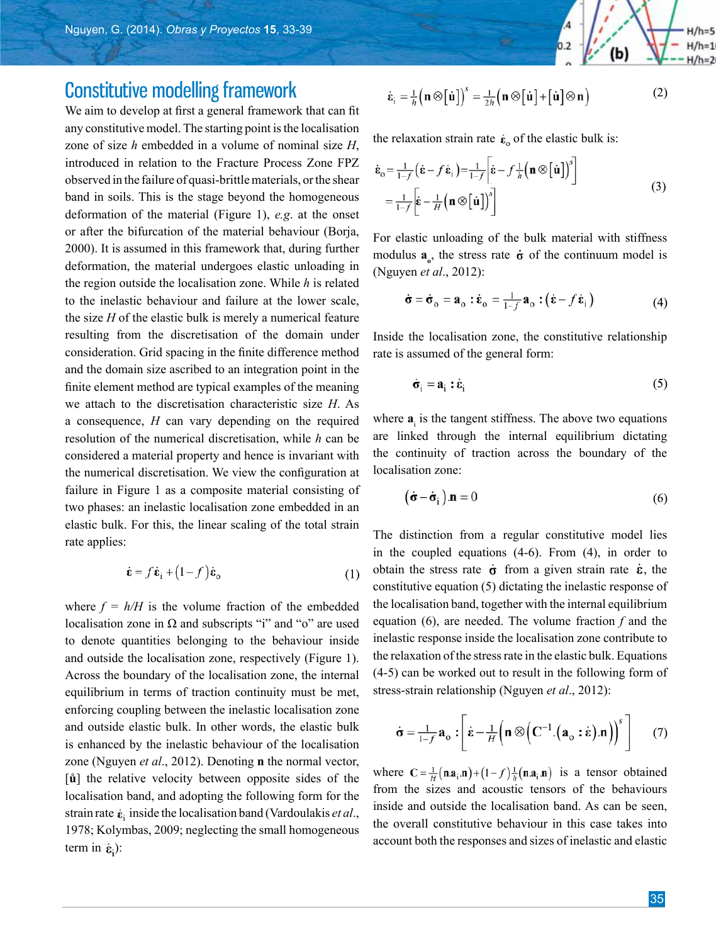## Constitutive modelling framework

We aim to develop at first a general framework that can fit any constitutive model. The starting point is the localisation zone of size *h* embedded in a volume of nominal size *H*, introduced in relation to the Fracture Process Zone FPZ observed in the failure of quasi-brittle materials, or the shear band in soils. This is the stage beyond the homogeneous deformation of the material (Figure 1), *e.g*. at the onset or after the bifurcation of the material behaviour (Borja, 2000). It is assumed in this framework that, during further deformation, the material undergoes elastic unloading in the region outside the localisation zone. While *h* is related to the inelastic behaviour and failure at the lower scale, the size *H* of the elastic bulk is merely a numerical feature resulting from the discretisation of the domain under consideration. Grid spacing in the finite difference method and the domain size ascribed to an integration point in the finite element method are typical examples of the meaning we attach to the discretisation characteristic size *H*. As a consequence, *H* can vary depending on the required resolution of the numerical discretisation, while *h* can be considered a material property and hence is invariant with the numerical discretisation. We view the configuration at failure in Figure 1 as a composite material consisting of two phases: an inelastic localisation zone embedded in an elastic bulk. For this, the linear scaling of the total strain rate applies:

$$
\dot{\mathbf{\varepsilon}} = f \dot{\mathbf{\varepsilon}}_{i} + (1 - f) \dot{\mathbf{\varepsilon}}_{o} \tag{1}
$$

where  $f = h/H$  is the volume fraction of the embedded localisation zone in  $\Omega$  and subscripts "i" and "o" are used to denote quantities belonging to the behaviour inside and outside the localisation zone, respectively (Figure 1). Across the boundary of the localisation zone, the internal equilibrium in terms of traction continuity must be met, enforcing coupling between the inelastic localisation zone and outside elastic bulk. In other words, the elastic bulk is enhanced by the inelastic behaviour of the localisation zone (Nguyen *et al*., 2012). Denoting **n** the normal vector, [**ů**] the relative velocity between opposite sides of the localisation band, and adopting the following form for the strain rate  $\dot{\mathbf{g}}_i$  inside the localisation band (Vardoulakis *et al.*, 1978; Kolymbas, 2009; neglecting the small homogeneous term in  $\dot{\mathbf{\varepsilon}}$ .

$$
\dot{\mathbf{\varepsilon}}_{i} = \frac{1}{h} \left( \mathbf{n} \otimes \left[ \dot{\mathbf{u}} \right] \right)^{s} = \frac{1}{2h} \left( \mathbf{n} \otimes \left[ \dot{\mathbf{u}} \right] + \left[ \dot{\mathbf{u}} \right] \otimes \mathbf{n} \right)
$$
(2)

the relaxation strain rate  $\dot{\epsilon}_0$  of the elastic bulk is:

$$
\dot{\mathbf{\varepsilon}}_{o} = \frac{1}{1-f} \left( \dot{\mathbf{\varepsilon}} - f \dot{\mathbf{\varepsilon}}_{i} \right) = \frac{1}{1-f} \left[ \dot{\mathbf{\varepsilon}} - f \frac{1}{h} \left( \mathbf{n} \otimes \left[ \dot{\mathbf{u}} \right] \right)^{s} \right]
$$
\n
$$
= \frac{1}{1-f} \left[ \dot{\mathbf{\varepsilon}} - \frac{1}{H} \left( \mathbf{n} \otimes \left[ \dot{\mathbf{u}} \right] \right)^{s} \right]
$$
\n(3)

For elastic unloading of the bulk material with stiffness modulus  $\mathbf{a}_{\rho}$ , the stress rate  $\dot{\sigma}$  of the continuum model is (Nguyen *et al*., 2012):

$$
\dot{\boldsymbol{\sigma}} = \dot{\boldsymbol{\sigma}}_o = \boldsymbol{a}_o : \dot{\boldsymbol{\varepsilon}}_o = \frac{1}{1-f} \boldsymbol{a}_o : (\dot{\boldsymbol{\varepsilon}} - f \dot{\boldsymbol{\varepsilon}}_i)
$$
(4)

Inside the localisation zone, the constitutive relationship rate is assumed of the general form:

$$
\dot{\sigma}_i = \mathbf{a}_i : \dot{\mathbf{\varepsilon}}_i \tag{5}
$$

where  $a_i$  is the tangent stiffness. The above two equations are linked through the internal equilibrium dictating the continuity of traction across the boundary of the localisation zone:

$$
(\dot{\sigma} - \dot{\sigma}_i) \cdot \mathbf{n} = 0 \tag{6}
$$

The distinction from a regular constitutive model lies in the coupled equations (4-6). From (4), in order to obtain the stress rate  $\dot{\sigma}$  from a given strain rate  $\dot{\varepsilon}$ , the constitutive equation (5) dictating the inelastic response of the localisation band, together with the internal equilibrium equation (6), are needed. The volume fraction *f* and the inelastic response inside the localisation zone contribute to the relaxation of the stress rate in the elastic bulk. Equations (4-5) can be worked out to result in the following form of stress-strain relationship (Nguyen *et al*., 2012):

$$
\dot{\boldsymbol{\sigma}} = \frac{1}{1-f} \mathbf{a}_o : \left[ \dot{\boldsymbol{\epsilon}} - \frac{1}{H} \left( \mathbf{n} \otimes \left( \mathbf{C}^{-1} . (\mathbf{a}_o : \dot{\boldsymbol{\epsilon}}) . \mathbf{n} \right) \right)^s \right] \tag{7}
$$

where  $C = \frac{1}{H}(\mathbf{n} \cdot \mathbf{a}_i \cdot \mathbf{n}) + (1 - f)\frac{1}{h}(\mathbf{n} \cdot \mathbf{a}_i \cdot \mathbf{n})$  is a tensor obtained from the sizes and acoustic tensors of the behaviours inside and outside the localisation band. As can be seen, the overall constitutive behaviour in this case takes into account both the responses and sizes of inelastic and elastic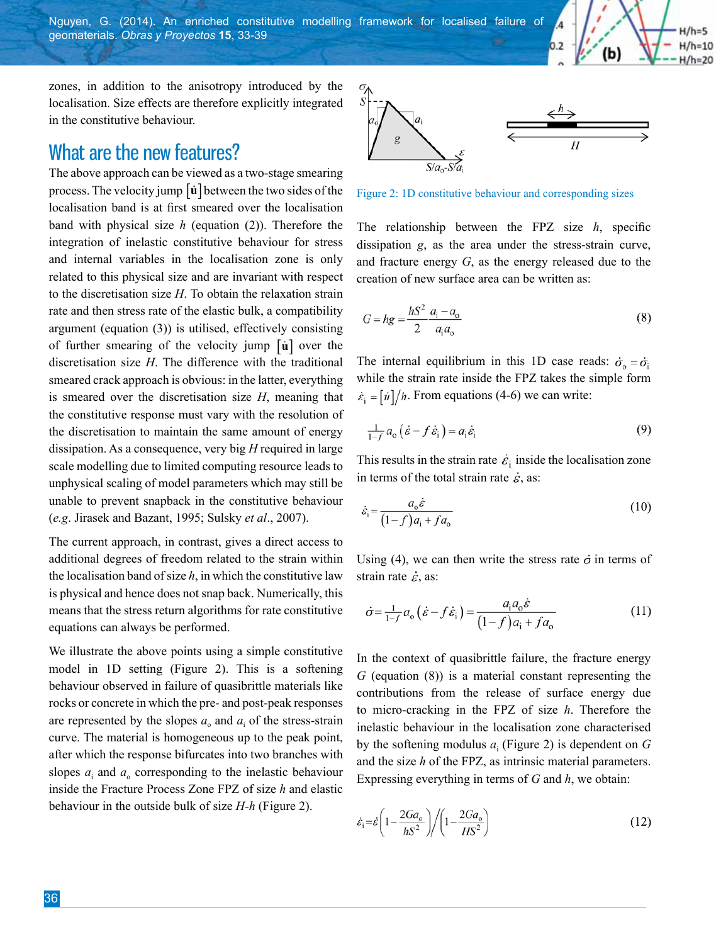Nguyen, G. (2014). An enriched constitutive modelling framework for localised failure of geomaterials. *Obras y Proyectos* **15**, 33-39

zones, in addition to the anisotropy introduced by the localisation. Size effects are therefore explicitly integrated in the constitutive behaviour.

#### What are the new features?

The above approach can be viewed as a two-stage smearing process. The velocity jump  $\left[\dot{u}\right]$  between the two sides of the localisation band is at first smeared over the localisation band with physical size *h* (equation (2)). Therefore the integration of inelastic constitutive behaviour for stress and internal variables in the localisation zone is only related to this physical size and are invariant with respect to the discretisation size *H*. To obtain the relaxation strain rate and then stress rate of the elastic bulk, a compatibility argument (equation (3)) is utilised, effectively consisting of further smearing of the velocity jump  $\left[\dot{u}\right]$  over the discretisation size *H*. The difference with the traditional smeared crack approach is obvious: in the latter, everything is smeared over the discretisation size *H*, meaning that the constitutive response must vary with the resolution of the discretisation to maintain the same amount of energy dissipation. As a consequence, very big *H* required in large scale modelling due to limited computing resource leads to unphysical scaling of model parameters which may still be unable to prevent snapback in the constitutive behaviour (*e.g*. Jirasek and Bazant, 1995; Sulsky *et al*., 2007).

The current approach, in contrast, gives a direct access to additional degrees of freedom related to the strain within the localisation band of size *h*, in which the constitutive law is physical and hence does not snap back. Numerically, this means that the stress return algorithms for rate constitutive equations can always be performed.

We illustrate the above points using a simple constitutive model in 1D setting (Figure 2). This is a softening behaviour observed in failure of quasibrittle materials like rocks or concrete in which the pre- and post-peak responses are represented by the slopes  $a_0$  and  $a_i$  of the stress-strain curve. The material is homogeneous up to the peak point, after which the response bifurcates into two branches with slopes  $a_i$  and  $a_o$  corresponding to the inelastic behaviour inside the Fracture Process Zone FPZ of size *h* and elastic behaviour in the outside bulk of size *H-h* (Figure 2).



 $H/h=5$  $H/h=10$ 

 $H/h=20$ 

(b)

Figure 2: 1D constitutive behaviour and corresponding sizes

The relationship between the FPZ size *h*, specific dissipation *g*, as the area under the stress-strain curve, and fracture energy *G*, as the energy released due to the creation of new surface area can be written as:

$$
G = hg = \frac{hS^2}{2} \frac{a_i - a_o}{a_i a_o}
$$
 (8)

The internal equilibrium in this 1D case reads:  $\dot{\sigma}_{0} = \dot{\sigma}_{i}$ while the strain rate inside the FPZ takes the simple form  $\dot{\varepsilon}_i = \left[\dot{u}\right]/h$ . From equations (4-6) we can write:

$$
\frac{1}{1-f}a_0(\dot{\varepsilon} - f\dot{\varepsilon}_i) = a_i\dot{\varepsilon}_i
$$
\n(9)

This results in the strain rate  $\dot{\varepsilon}_i$  inside the localisation zone in terms of the total strain rate  $\dot{\varepsilon}$ , as:

$$
\dot{\varepsilon}_{\rm i} = \frac{a_{\rm o} \dot{\varepsilon}}{(1 - f) a_{\rm i} + f a_{\rm o}}\tag{10}
$$

Using (4), we can then write the stress rate  $\dot{\sigma}$  in terms of strain rate  $\dot{\varepsilon}$ , as:

$$
\dot{\sigma} = \frac{1}{1 - f} a_0 \left( \dot{\varepsilon} - f \dot{\varepsilon}_i \right) = \frac{a_i a_0 \dot{\varepsilon}}{(1 - f) a_i + f a_0} \tag{11}
$$

In the context of quasibrittle failure, the fracture energy *G* (equation (8)) is a material constant representing the contributions from the release of surface energy due to micro-cracking in the FPZ of size *h*. Therefore the inelastic behaviour in the localisation zone characterised by the softening modulus  $a_i$  (Figure 2) is dependent on  $G$ and the size *h* of the FPZ, as intrinsic material parameters. Expressing everything in terms of *G* and *h*, we obtain:

$$
\dot{\varepsilon}_{\rm i} = \dot{\varepsilon} \left( 1 - \frac{2Ga_{\rm o}}{hS^2} \right) / \left( 1 - \frac{2Ga_{\rm o}}{HS^2} \right) \tag{12}
$$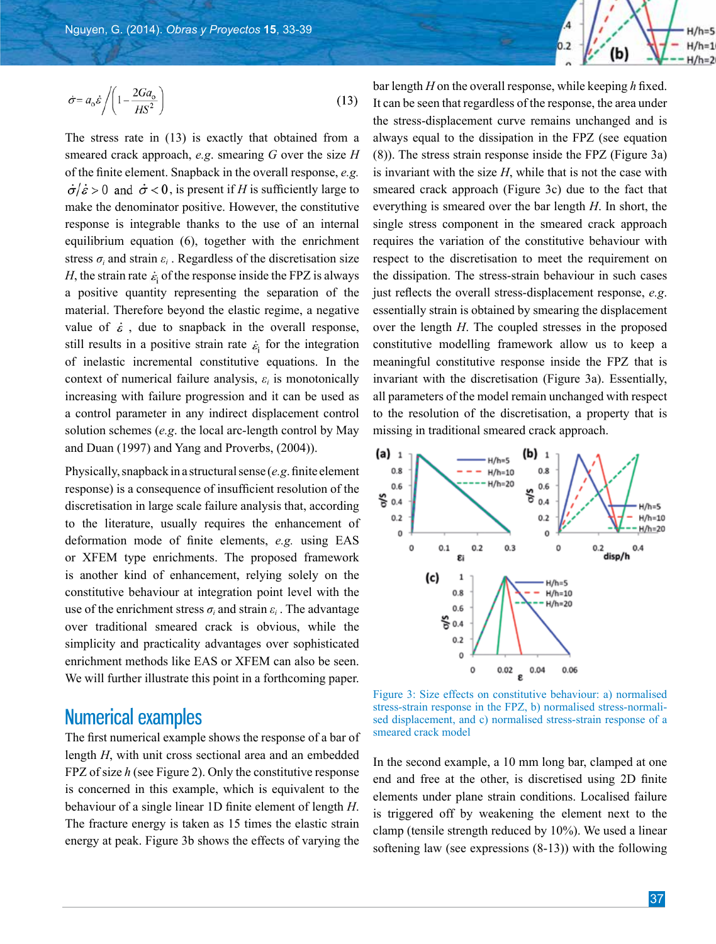

$$
\dot{\sigma} = a_o \dot{\varepsilon} / \left( 1 - \frac{2Ga_o}{HS^2} \right)
$$
 (13)

The stress rate in (13) is exactly that obtained from a smeared crack approach, *e.g*. smearing *G* over the size *H* of the finite element. Snapback in the overall response, *e.g.*   $\dot{\sigma}/\dot{\varepsilon} > 0$  and  $\dot{\sigma} < 0$ , is present if *H* is sufficiently large to make the denominator positive. However, the constitutive response is integrable thanks to the use of an internal equilibrium equation (6), together with the enrichment stress  $\sigma_i$  and strain  $\varepsilon_i$ . Regardless of the discretisation size *H*, the strain rate  $\varepsilon$  of the response inside the FPZ is always a positive quantity representing the separation of the material. Therefore beyond the elastic regime, a negative value of  $\dot{\varepsilon}$ , due to snapback in the overall response, still results in a positive strain rate  $\epsilon_i$  for the integration of inelastic incremental constitutive equations. In the context of numerical failure analysis, *εi* is monotonically increasing with failure progression and it can be used as a control parameter in any indirect displacement control solution schemes (*e.g*. the local arc-length control by May and Duan (1997) and Yang and Proverbs, (2004)).

Physically, snapback in a structural sense (*e.g*. finite element response) is a consequence of insufficient resolution of the discretisation in large scale failure analysis that, according to the literature, usually requires the enhancement of deformation mode of finite elements, *e.g.* using EAS or XFEM type enrichments. The proposed framework is another kind of enhancement, relying solely on the constitutive behaviour at integration point level with the use of the enrichment stress  $\sigma_i$  and strain  $\varepsilon_i$ . The advantage over traditional smeared crack is obvious, while the simplicity and practicality advantages over sophisticated enrichment methods like EAS or XFEM can also be seen. We will further illustrate this point in a forthcoming paper.

# Numerical examples

The first numerical example shows the response of a bar of length *H*, with unit cross sectional area and an embedded FPZ of size *h* (see Figure 2). Only the constitutive response is concerned in this example, which is equivalent to the behaviour of a single linear 1D finite element of length *H*. The fracture energy is taken as 15 times the elastic strain energy at peak. Figure 3b shows the effects of varying the

bar length *H* on the overall response, while keeping *h* fixed. It can be seen that regardless of the response, the area under the stress-displacement curve remains unchanged and is always equal to the dissipation in the FPZ (see equation (8)). The stress strain response inside the FPZ (Figure 3a) is invariant with the size *H*, while that is not the case with smeared crack approach (Figure 3c) due to the fact that everything is smeared over the bar length *H*. In short, the single stress component in the smeared crack approach requires the variation of the constitutive behaviour with respect to the discretisation to meet the requirement on the dissipation. The stress-strain behaviour in such cases just reflects the overall stress-displacement response, *e.g*. essentially strain is obtained by smearing the displacement over the length *H*. The coupled stresses in the proposed constitutive modelling framework allow us to keep a meaningful constitutive response inside the FPZ that is invariant with the discretisation (Figure 3a). Essentially, all parameters of the model remain unchanged with respect to the resolution of the discretisation, a property that is missing in traditional smeared crack approach.



Figure 3: Size effects on constitutive behaviour: a) normalised stress-strain response in the FPZ, b) normalised stress-normalised displacement, and c) normalised stress-strain response of a smeared crack model

In the second example, a 10 mm long bar, clamped at one end and free at the other, is discretised using 2D finite elements under plane strain conditions. Localised failure is triggered off by weakening the element next to the clamp (tensile strength reduced by 10%). We used a linear softening law (see expressions (8-13)) with the following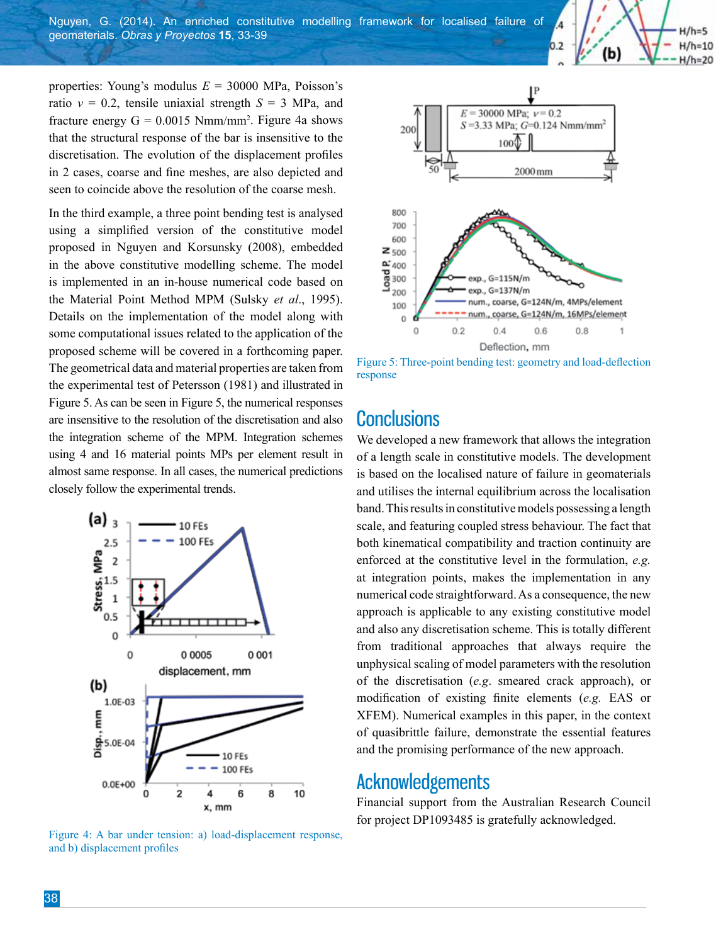properties: Young's modulus *E* = 30000 MPa, Poisson's ratio  $v = 0.2$ , tensile uniaxial strength  $S = 3$  MPa, and fracture energy  $G = 0.0015$  Nmm/mm<sup>2</sup>. Figure 4a shows that the structural response of the bar is insensitive to the discretisation. The evolution of the displacement profiles in 2 cases, coarse and fine meshes, are also depicted and seen to coincide above the resolution of the coarse mesh.

In the third example, a three point bending test is analysed using a simplified version of the constitutive model proposed in Nguyen and Korsunsky (2008), embedded in the above constitutive modelling scheme. The model is implemented in an in-house numerical code based on the Material Point Method MPM (Sulsky *et al*., 1995). Details on the implementation of the model along with some computational issues related to the application of the proposed scheme will be covered in a forthcoming paper. The geometrical data and material properties are taken from the experimental test of Petersson (1981) and illustrated in Figure 5. As can be seen in Figure 5, the numerical responses are insensitive to the resolution of the discretisation and also the integration scheme of the MPM. Integration schemes using 4 and 16 material points MPs per element result in almost same response. In all cases, the numerical predictions closely follow the experimental trends.



Figure 4: A bar under tension: a) load-displacement response, and b) displacement profiles



 $H/h=5$  $H/h=10$ 

 $H/h=20$ 

(b)

Figure 5: Three-point bending test: geometry and load-deflection response

### **Conclusions**

We developed a new framework that allows the integration of a length scale in constitutive models. The development is based on the localised nature of failure in geomaterials and utilises the internal equilibrium across the localisation band. This results in constitutive models possessing a length scale, and featuring coupled stress behaviour. The fact that both kinematical compatibility and traction continuity are enforced at the constitutive level in the formulation, *e.g.*  at integration points, makes the implementation in any numerical code straightforward. As a consequence, the new approach is applicable to any existing constitutive model and also any discretisation scheme. This is totally different from traditional approaches that always require the unphysical scaling of model parameters with the resolution of the discretisation (*e.g*. smeared crack approach), or modification of existing finite elements (*e.g.* EAS or XFEM). Numerical examples in this paper, in the context of quasibrittle failure, demonstrate the essential features and the promising performance of the new approach.

#### Acknowledgements

Financial support from the Australian Research Council for project DP1093485 is gratefully acknowledged.